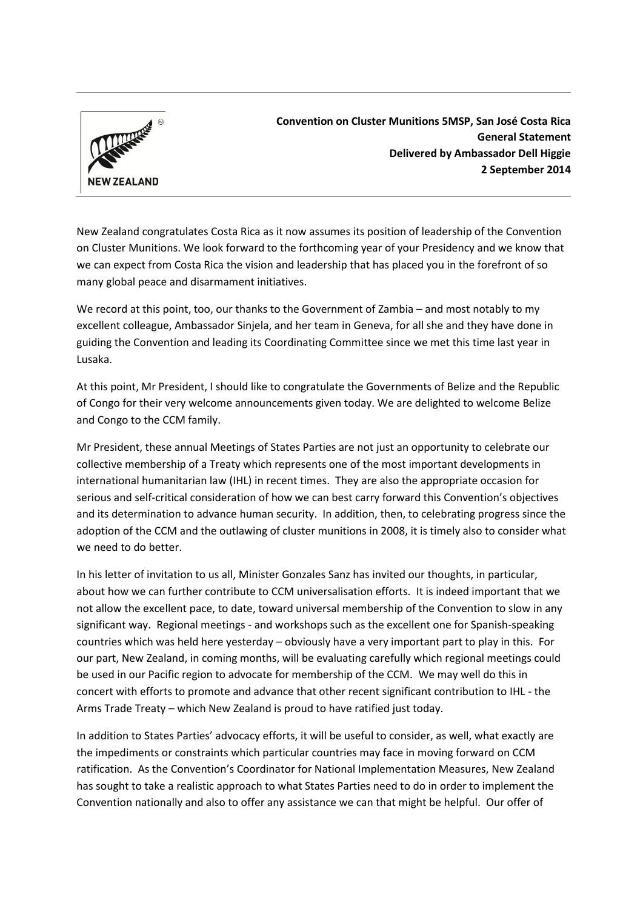

**Convention on Cluster Munitions 5MSP, San José Costa Rica General Statement Delivered by Ambassador Dell Higgie 2 September 2014**

New Zealand congratulates Costa Rica as it now assumes its position of leadership of the Convention on Cluster Munitions. We look forward to the forthcoming year of your Presidency and we know that we can expect from Costa Rica the vision and leadership that has placed you in the forefront of so many global peace and disarmament initiatives.

We record at this point, too, our thanks to the Government of Zambia – and most notably to my excellent colleague, Ambassador Sinjela, and her team in Geneva, for all she and they have done in guiding the Convention and leading its Coordinating Committee since we met this time last year in Lusaka.

At this point, Mr President, I should like to congratulate the Governments of Belize and the Republic of Congo for their very welcome announcements given today. We are delighted to welcome Belize and Congo to the CCM family.

Mr President, these annual Meetings of States Parties are not just an opportunity to celebrate our collective membership of a Treaty which represents one of the most important developments in international humanitarian law (IHL) in recent times. They are also the appropriate occasion for serious and self-critical consideration of how we can best carry forward this Convention's objectives and its determination to advance human security. In addition, then, to celebrating progress since the adoption of the CCM and the outlawing of cluster munitions in 2008, it is timely also to consider what we need to do better.

In his letter of invitation to us all, Minister Gonzales Sanz has invited our thoughts, in particular, about how we can further contribute to CCM universalisation efforts. It is indeed important that we not allow the excellent pace, to date, toward universal membership of the Convention to slow in any significant way. Regional meetings - and workshops such as the excellent one for Spanish-speaking countries which was held here yesterday – obviously have a very important part to play in this. For our part, New Zealand, in coming months, will be evaluating carefully which regional meetings could be used in our Pacific region to advocate for membership of the CCM. We may well do this in concert with efforts to promote and advance that other recent significant contribution to IHL - the Arms Trade Treaty – which New Zealand is proud to have ratified just today.

In addition to States Parties' advocacy efforts, it will be useful to consider, as well, what exactly are the impediments or constraints which particular countries may face in moving forward on CCM ratification. As the Convention's Coordinator for National Implementation Measures, New Zealand has sought to take a realistic approach to what States Parties need to do in order to implement the Convention nationally and also to offer any assistance we can that might be helpful. Our offer of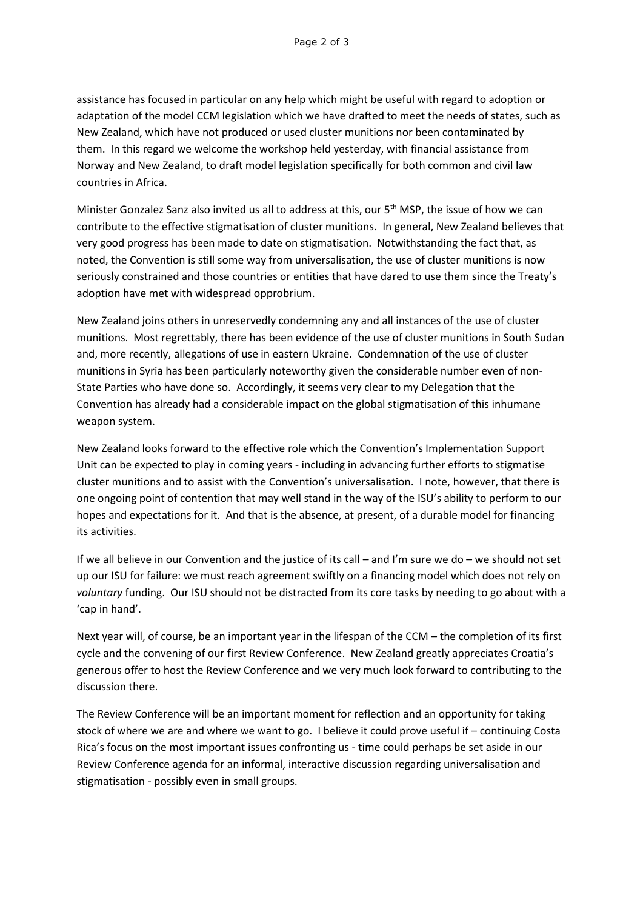assistance has focused in particular on any help which might be useful with regard to adoption or adaptation of the model CCM legislation which we have drafted to meet the needs of states, such as New Zealand, which have not produced or used cluster munitions nor been contaminated by them. In this regard we welcome the workshop held yesterday, with financial assistance from Norway and New Zealand, to draft model legislation specifically for both common and civil law countries in Africa.

Minister Gonzalez Sanz also invited us all to address at this, our 5<sup>th</sup> MSP, the issue of how we can contribute to the effective stigmatisation of cluster munitions. In general, New Zealand believes that very good progress has been made to date on stigmatisation. Notwithstanding the fact that, as noted, the Convention is still some way from universalisation, the use of cluster munitions is now seriously constrained and those countries or entities that have dared to use them since the Treaty's adoption have met with widespread opprobrium.

New Zealand joins others in unreservedly condemning any and all instances of the use of cluster munitions. Most regrettably, there has been evidence of the use of cluster munitions in South Sudan and, more recently, allegations of use in eastern Ukraine. Condemnation of the use of cluster munitions in Syria has been particularly noteworthy given the considerable number even of non-State Parties who have done so. Accordingly, it seems very clear to my Delegation that the Convention has already had a considerable impact on the global stigmatisation of this inhumane weapon system.

New Zealand looks forward to the effective role which the Convention's Implementation Support Unit can be expected to play in coming years - including in advancing further efforts to stigmatise cluster munitions and to assist with the Convention's universalisation. I note, however, that there is one ongoing point of contention that may well stand in the way of the ISU's ability to perform to our hopes and expectations for it. And that is the absence, at present, of a durable model for financing its activities.

If we all believe in our Convention and the justice of its call – and I'm sure we do – we should not set up our ISU for failure: we must reach agreement swiftly on a financing model which does not rely on *voluntary* funding. Our ISU should not be distracted from its core tasks by needing to go about with a 'cap in hand'.

Next year will, of course, be an important year in the lifespan of the CCM – the completion of its first cycle and the convening of our first Review Conference. New Zealand greatly appreciates Croatia's generous offer to host the Review Conference and we very much look forward to contributing to the discussion there.

The Review Conference will be an important moment for reflection and an opportunity for taking stock of where we are and where we want to go. I believe it could prove useful if – continuing Costa Rica's focus on the most important issues confronting us - time could perhaps be set aside in our Review Conference agenda for an informal, interactive discussion regarding universalisation and stigmatisation - possibly even in small groups.